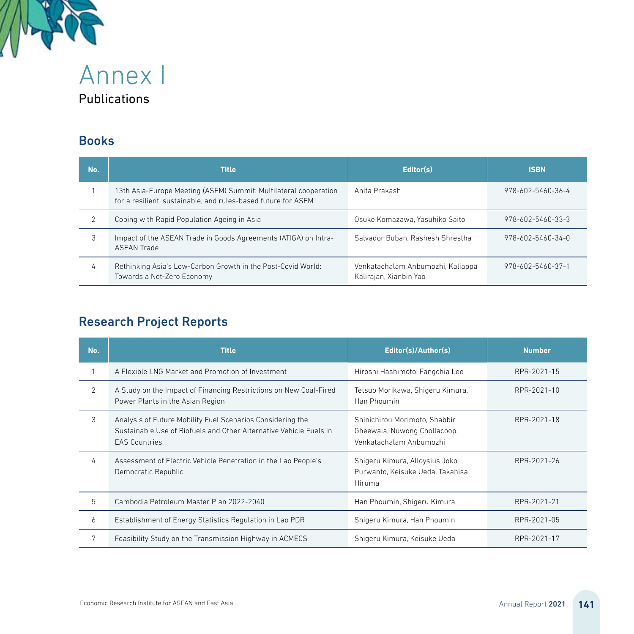

Publications

#### Books

| No. | <b>Title</b>                                                                                                                      | Editor(s)                                                   | <b>ISBN</b>       |
|-----|-----------------------------------------------------------------------------------------------------------------------------------|-------------------------------------------------------------|-------------------|
|     | 13th Asia-Europe Meeting (ASEM) Summit: Multilateral cooperation<br>for a resilient, sustainable, and rules-based future for ASEM | Anita Prakash                                               | 978-602-5460-36-4 |
|     | Coping with Rapid Population Ageing in Asia                                                                                       | Osuke Komazawa, Yasuhiko Saito                              | 978-602-5460-33-3 |
| 3   | Impact of the ASEAN Trade in Goods Agreements (ATIGA) on Intra-<br><b>ASFAN Trade</b>                                             | Salvador Buban, Rashesh Shrestha                            | 978-602-5460-34-0 |
| 4   | Rethinking Asia's Low-Carbon Growth in the Post-Covid World:<br>Towards a Net-Zero Economy                                        | Venkatachalam Anbumozhi, Kaliappa<br>Kalirajan, Xianbin Yao | 978-602-5460-37-1 |

## Research Project Reports

| No.            | Editor(s)/Author(s)<br><b>Title</b>                                                                                                                      |                                                                                          | <b>Number</b> |
|----------------|----------------------------------------------------------------------------------------------------------------------------------------------------------|------------------------------------------------------------------------------------------|---------------|
|                | A Flexible LNG Market and Promotion of Investment                                                                                                        | Hiroshi Hashimoto, Fangchia Lee                                                          | RPR-2021-15   |
| $\mathfrak{D}$ | A Study on the Impact of Financing Restrictions on New Coal-Fired<br>Power Plants in the Asian Region                                                    | Tetsuo Morikawa, Shigeru Kimura,<br>Han Phoumin                                          | RPR-2021-10   |
| 3              | Analysis of Future Mobility Fuel Scenarios Considering the<br>Sustainable Use of Biofuels and Other Alternative Vehicle Fuels in<br><b>EAS Countries</b> | Shinichirou Morimoto, Shabbir<br>Gheewala, Nuwong Chollacoop,<br>Venkatachalam Anbumozhi | RPR-2021-18   |
| 4              | Assessment of Electric Vehicle Penetration in the Lao People's<br>Democratic Republic                                                                    | Shigeru Kimura, Alloysius Joko<br>Purwanto, Keisuke Ueda, Takahisa<br>Hiruma             | RPR-2021-26   |
| 5              | Cambodia Petroleum Master Plan 2022-2040                                                                                                                 | Han Phoumin, Shigeru Kimura                                                              | RPR-2021-21   |
| 6              | Establishment of Energy Statistics Regulation in Lao PDR                                                                                                 | Shigeru Kimura, Han Phoumin                                                              | RPR-2021-05   |
|                | Feasibility Study on the Transmission Highway in ACMECS                                                                                                  | Shigeru Kimura, Keisuke Ueda                                                             | RPR-2021-17   |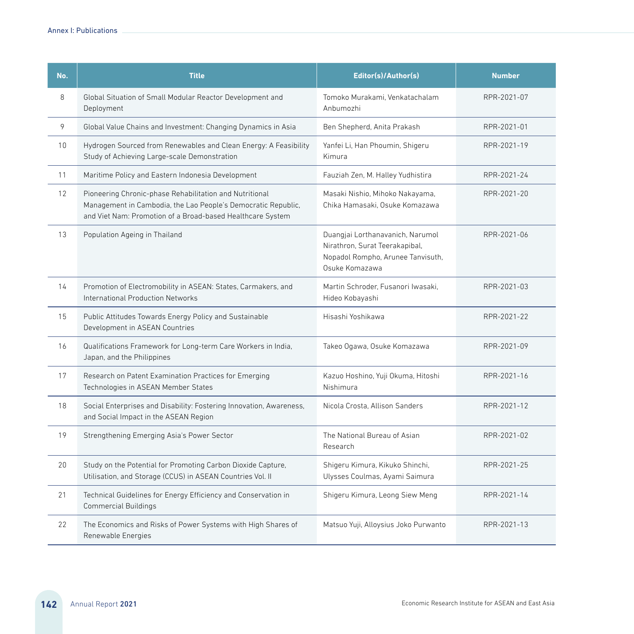| No. | <b>Title</b>                                                                                                                                                                           | Editor(s)/Author(s)                                                                                                       | <b>Number</b> |
|-----|----------------------------------------------------------------------------------------------------------------------------------------------------------------------------------------|---------------------------------------------------------------------------------------------------------------------------|---------------|
| 8   | Global Situation of Small Modular Reactor Development and<br>Deployment                                                                                                                | Tomoko Murakami, Venkatachalam<br>Anbumozhi                                                                               | RPR-2021-07   |
| 9   | Global Value Chains and Investment: Changing Dynamics in Asia                                                                                                                          | Ben Shepherd, Anita Prakash                                                                                               | RPR-2021-01   |
| 10  | Hydrogen Sourced from Renewables and Clean Energy: A Feasibility<br>Study of Achieving Large-scale Demonstration                                                                       | Yanfei Li, Han Phoumin, Shigeru<br>Kimura                                                                                 | RPR-2021-19   |
| 11  | Maritime Policy and Eastern Indonesia Development                                                                                                                                      | Fauziah Zen, M. Halley Yudhistira                                                                                         | RPR-2021-24   |
| 12  | Pioneering Chronic-phase Rehabilitation and Nutritional<br>Management in Cambodia, the Lao People's Democratic Republic,<br>and Viet Nam: Promotion of a Broad-based Healthcare System | Masaki Nishio, Mihoko Nakayama,<br>Chika Hamasaki, Osuke Komazawa                                                         | RPR-2021-20   |
| 13  | Population Ageing in Thailand                                                                                                                                                          | Duangjai Lorthanavanich, Narumol<br>Nirathron, Surat Teerakapibal,<br>Nopadol Rompho, Arunee Tanvisuth,<br>Osuke Komazawa | RPR-2021-06   |
| 14  | Promotion of Electromobility in ASEAN: States, Carmakers, and<br>International Production Networks                                                                                     | Martin Schroder, Fusanori Iwasaki.<br>RPR-2021-03<br>Hideo Kobayashi                                                      |               |
| 15  | Public Attitudes Towards Energy Policy and Sustainable<br>Development in ASEAN Countries                                                                                               | Hisashi Yoshikawa                                                                                                         | RPR-2021-22   |
| 16  | Qualifications Framework for Long-term Care Workers in India,<br>Japan, and the Philippines                                                                                            | Takeo Ogawa, Osuke Komazawa                                                                                               | RPR-2021-09   |
| 17  | Research on Patent Examination Practices for Emerging<br>Technologies in ASEAN Member States                                                                                           | Kazuo Hoshino, Yuji Okuma, Hitoshi<br>Nishimura                                                                           | RPR-2021-16   |
| 18  | Social Enterprises and Disability: Fostering Innovation, Awareness,<br>and Social Impact in the ASEAN Region                                                                           | Nicola Crosta, Allison Sanders<br>RPR-2021-12                                                                             |               |
| 19  | Strengthening Emerging Asia's Power Sector                                                                                                                                             | The National Bureau of Asian<br>Research                                                                                  | RPR-2021-02   |
| 20  | Study on the Potential for Promoting Carbon Dioxide Capture,<br>Utilisation, and Storage (CCUS) in ASEAN Countries Vol. II                                                             | Shigeru Kimura, Kikuko Shinchi,<br>RPR-2021-25<br>Ulysses Coulmas, Ayami Saimura                                          |               |
| 21  | Technical Guidelines for Energy Efficiency and Conservation in<br><b>Commercial Buildings</b>                                                                                          | RPR-2021-14<br>Shigeru Kimura, Leong Siew Meng                                                                            |               |
| 22  | The Economics and Risks of Power Systems with High Shares of<br>Renewable Energies                                                                                                     | Matsuo Yuji, Alloysius Joko Purwanto                                                                                      | RPR-2021-13   |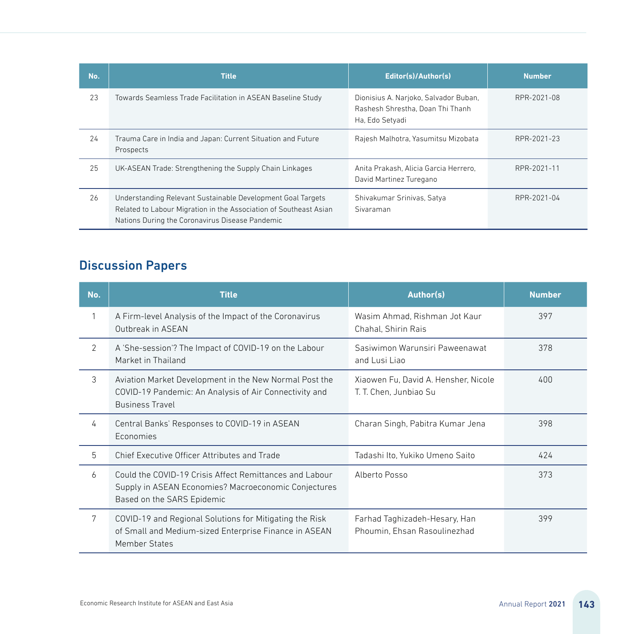| No. | <b>Title</b>                                                                                                                                                                        | Editor(s)/Author(s)                                                                          | <b>Number</b> |
|-----|-------------------------------------------------------------------------------------------------------------------------------------------------------------------------------------|----------------------------------------------------------------------------------------------|---------------|
| 23  | Towards Seamless Trade Facilitation in ASEAN Baseline Study                                                                                                                         | Dionisius A. Narjoko, Salvador Buban,<br>Rashesh Shrestha, Doan Thi Thanh<br>Ha, Edo Setyadi | RPR-2021-08   |
| 24  | Trauma Care in India and Japan: Current Situation and Future<br>Prospects                                                                                                           | Rajesh Malhotra, Yasumitsu Mizobata                                                          | RPR-2021-23   |
| 25  | UK-ASEAN Trade: Strengthening the Supply Chain Linkages                                                                                                                             | Anita Prakash, Alicia Garcia Herrero,<br>David Martinez Turegano                             | RPR-2021-11   |
| 26  | Understanding Relevant Sustainable Development Goal Targets<br>Related to Labour Migration in the Association of Southeast Asian<br>Nations During the Coronavirus Disease Pandemic | Shivakumar Srinivas, Satya<br>Sivaraman                                                      | RPR-2021-04   |

## Discussion Papers

| No.            | Author(s)<br><b>Title</b>                                                                                                                                      |                                                                | <b>Number</b> |
|----------------|----------------------------------------------------------------------------------------------------------------------------------------------------------------|----------------------------------------------------------------|---------------|
|                | A Firm-level Analysis of the Impact of the Coronavirus<br>Outbreak in ASEAN                                                                                    | Wasim Ahmad, Rishman Jot Kaur<br>Chahal, Shirin Rais           |               |
| $\overline{2}$ | A 'She-session'? The Impact of COVID-19 on the Labour<br>Market in Thailand                                                                                    | Sasiwimon Warunsiri Paweenawat<br>and Lusi Liao                | 378           |
| 3              | Aviation Market Development in the New Normal Post the<br>COVID-19 Pandemic: An Analysis of Air Connectivity and<br><b>Business Travel</b>                     | Xiaowen Fu, David A. Hensher, Nicole<br>T. T. Chen. Junbiao Su | 400           |
| 4              | Central Banks' Responses to COVID-19 in ASEAN<br>Economies                                                                                                     | Charan Singh, Pabitra Kumar Jena                               |               |
| 5              | Chief Executive Officer Attributes and Trade                                                                                                                   | Tadashi Ito, Yukiko Umeno Saito                                | 424           |
| 6              | Could the COVID-19 Crisis Affect Remittances and Labour<br>Alberto Posso<br>Supply in ASEAN Economies? Macroeconomic Conjectures<br>Based on the SARS Epidemic |                                                                | 373           |
| 7              | COVID-19 and Regional Solutions for Mitigating the Risk<br>of Small and Medium-sized Enterprise Finance in ASEAN<br>Member States                              | Farhad Taghizadeh-Hesary, Han<br>Phoumin, Ehsan Rasoulinezhad  | 399           |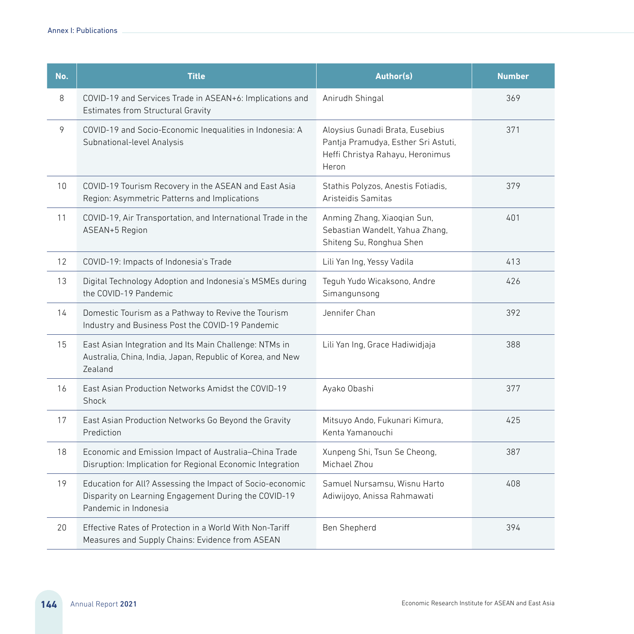| No. | <b>Title</b>                                                                                                                               | Author(s)                                                                                                           | <b>Number</b> |
|-----|--------------------------------------------------------------------------------------------------------------------------------------------|---------------------------------------------------------------------------------------------------------------------|---------------|
| 8   | COVID-19 and Services Trade in ASEAN+6: Implications and<br><b>Estimates from Structural Gravity</b>                                       | Anirudh Shingal                                                                                                     | 369           |
| 9   | COVID-19 and Socio-Economic Inequalities in Indonesia: A<br>Subnational-level Analysis                                                     | Aloysius Gunadi Brata, Eusebius<br>Pantja Pramudya, Esther Sri Astuti,<br>Heffi Christya Rahayu, Heronimus<br>Heron |               |
| 10  | COVID-19 Tourism Recovery in the ASEAN and East Asia<br>Region: Asymmetric Patterns and Implications                                       | Stathis Polyzos, Anestis Fotiadis,<br>Aristeidis Samitas                                                            | 379           |
| 11  | COVID-19, Air Transportation, and International Trade in the<br>ASEAN+5 Region                                                             | Anming Zhang, Xiaoqian Sun,<br>Sebastian Wandelt, Yahua Zhang,<br>Shiteng Su, Ronghua Shen                          | 401           |
| 12  | COVID-19: Impacts of Indonesia's Trade                                                                                                     | Lili Yan Ing, Yessy Vadila                                                                                          | 413           |
| 13  | Digital Technology Adoption and Indonesia's MSMEs during<br>the COVID-19 Pandemic                                                          | Teguh Yudo Wicaksono, Andre<br>Simangunsong                                                                         |               |
| 14  | Domestic Tourism as a Pathway to Revive the Tourism<br>Industry and Business Post the COVID-19 Pandemic                                    | Jennifer Chan                                                                                                       | 392           |
| 15  | East Asian Integration and Its Main Challenge: NTMs in<br>Australia, China, India, Japan, Republic of Korea, and New<br>Zealand            | Lili Yan Ing, Grace Hadiwidjaja                                                                                     | 388           |
| 16  | East Asian Production Networks Amidst the COVID-19<br>Shock                                                                                | Ayako Obashi                                                                                                        | 377           |
| 17  | East Asian Production Networks Go Beyond the Gravity<br>Prediction                                                                         | Mitsuyo Ando, Fukunari Kimura,<br>Kenta Yamanouchi                                                                  | 425           |
| 18  | Economic and Emission Impact of Australia-China Trade<br>Disruption: Implication for Regional Economic Integration                         | Xunpeng Shi, Tsun Se Cheong,<br>Michael Zhou                                                                        | 387           |
| 19  | Education for All? Assessing the Impact of Socio-economic<br>Disparity on Learning Engagement During the COVID-19<br>Pandemic in Indonesia | Samuel Nursamsu. Wisnu Harto<br>Adiwijoyo, Anissa Rahmawati                                                         | 408           |
| 20  | Effective Rates of Protection in a World With Non-Tariff<br>Measures and Supply Chains: Evidence from ASEAN                                | Ben Shepherd                                                                                                        | 394           |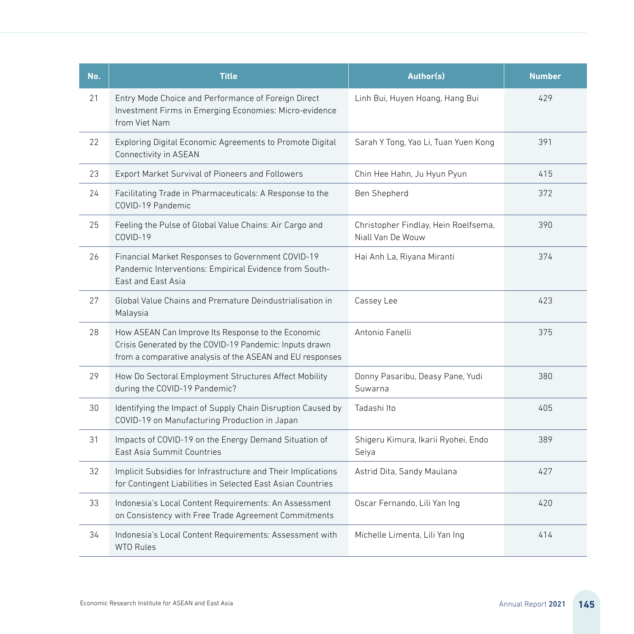| No. | <b>Title</b>                                                                                                                                                               | Author(s)                                                 | <b>Number</b> |
|-----|----------------------------------------------------------------------------------------------------------------------------------------------------------------------------|-----------------------------------------------------------|---------------|
| 21  | Entry Mode Choice and Performance of Foreign Direct<br>Investment Firms in Emerging Economies: Micro-evidence<br>from Viet Nam                                             | Linh Bui, Huyen Hoang, Hang Bui                           |               |
| 22  | Exploring Digital Economic Agreements to Promote Digital<br>Connectivity in ASEAN                                                                                          | Sarah Y Tong, Yao Li, Tuan Yuen Kong                      | 391           |
| 23  | Export Market Survival of Pioneers and Followers                                                                                                                           | Chin Hee Hahn, Ju Hyun Pyun                               | 415           |
| 24  | Facilitating Trade in Pharmaceuticals: A Response to the<br>COVID-19 Pandemic                                                                                              | Ben Shepherd                                              | 372           |
| 25  | Feeling the Pulse of Global Value Chains: Air Cargo and<br>COVID-19                                                                                                        | Christopher Findlay, Hein Roelfsema,<br>Niall Van De Wouw | 390           |
| 26  | Financial Market Responses to Government COVID-19<br>Pandemic Interventions: Empirical Evidence from South-<br>East and East Asia                                          | Hai Anh La, Riyana Miranti                                | 374           |
| 27  | Global Value Chains and Premature Deindustrialisation in<br>Malaysia                                                                                                       | Cassey Lee                                                | 423           |
| 28  | How ASEAN Can Improve Its Response to the Economic<br>Crisis Generated by the COVID-19 Pandemic: Inputs drawn<br>from a comparative analysis of the ASEAN and EU responses | Antonio Fanelli                                           | 375           |
| 29  | How Do Sectoral Employment Structures Affect Mobility<br>during the COVID-19 Pandemic?                                                                                     | Donny Pasaribu, Deasy Pane, Yudi<br>Suwarna               | 380           |
| 30  | Identifying the Impact of Supply Chain Disruption Caused by<br>COVID-19 on Manufacturing Production in Japan                                                               | Tadashi Ito                                               | 405           |
| 31  | Impacts of COVID-19 on the Energy Demand Situation of<br>East Asia Summit Countries                                                                                        | Shigeru Kimura, Ikarii Ryohei, Endo<br>Seiya              | 389           |
| 32  | Implicit Subsidies for Infrastructure and Their Implications<br>for Contingent Liabilities in Selected East Asian Countries                                                | Astrid Dita, Sandy Maulana                                | 427           |
| 33  | Indonesia's Local Content Requirements: An Assessment<br>on Consistency with Free Trade Agreement Commitments                                                              | Oscar Fernando, Lili Yan Ing                              | 420           |
| 34  | Indonesia's Local Content Requirements: Assessment with<br><b>WTO Rules</b>                                                                                                | Michelle Limenta, Lili Yan Ing                            | 414           |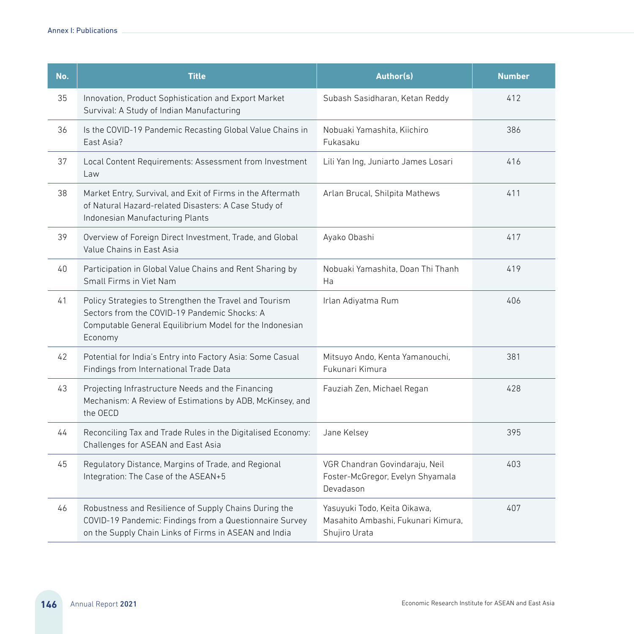| No. | <b>Title</b>                                                                                                                                                                 | Author(s)                                                                           | <b>Number</b> |  |
|-----|------------------------------------------------------------------------------------------------------------------------------------------------------------------------------|-------------------------------------------------------------------------------------|---------------|--|
| 35  | Innovation, Product Sophistication and Export Market<br>Survival: A Study of Indian Manufacturing                                                                            | Subash Sasidharan, Ketan Reddy                                                      | 412           |  |
| 36  | Is the COVID-19 Pandemic Recasting Global Value Chains in<br>East Asia?                                                                                                      | Nobuaki Yamashita, Kiichiro<br>Fukasaku                                             | 386           |  |
| 37  | Local Content Requirements: Assessment from Investment<br>Law                                                                                                                | Lili Yan Ing, Juniarto James Losari                                                 | 416           |  |
| 38  | Market Entry, Survival, and Exit of Firms in the Aftermath<br>of Natural Hazard-related Disasters: A Case Study of<br>Indonesian Manufacturing Plants                        | Arlan Brucal, Shilpita Mathews                                                      | 411           |  |
| 39  | Overview of Foreign Direct Investment, Trade, and Global<br>Value Chains in East Asia                                                                                        | Ayako Obashi                                                                        | 417           |  |
| 40  | Participation in Global Value Chains and Rent Sharing by<br>Small Firms in Viet Nam                                                                                          | Nobuaki Yamashita, Doan Thi Thanh<br>Ha                                             | 419           |  |
| 41  | Policy Strategies to Strengthen the Travel and Tourism<br>Sectors from the COVID-19 Pandemic Shocks: A<br>Computable General Equilibrium Model for the Indonesian<br>Economy | Irlan Adiyatma Rum                                                                  |               |  |
| 42  | Potential for India's Entry into Factory Asia: Some Casual<br>Findings from International Trade Data                                                                         | Mitsuyo Ando, Kenta Yamanouchi,<br>Fukunari Kimura                                  | 381           |  |
| 43  | Projecting Infrastructure Needs and the Financing<br>Mechanism: A Review of Estimations by ADB, McKinsey, and<br>the OECD                                                    | Fauziah Zen, Michael Regan                                                          | 428           |  |
| 44  | Reconciling Tax and Trade Rules in the Digitalised Economy:<br>Challenges for ASEAN and East Asia                                                                            | Jane Kelsey                                                                         | 395           |  |
| 45  | Regulatory Distance, Margins of Trade, and Regional<br>Integration: The Case of the ASEAN+5                                                                                  | VGR Chandran Govindaraju, Neil<br>Foster-McGregor, Evelyn Shyamala<br>Devadason     | 403           |  |
| 46  | Robustness and Resilience of Supply Chains During the<br>COVID-19 Pandemic: Findings from a Questionnaire Survey<br>on the Supply Chain Links of Firms in ASEAN and India    | Yasuyuki Todo, Keita Oikawa,<br>Masahito Ambashi, Fukunari Kimura,<br>Shujiro Urata | 407           |  |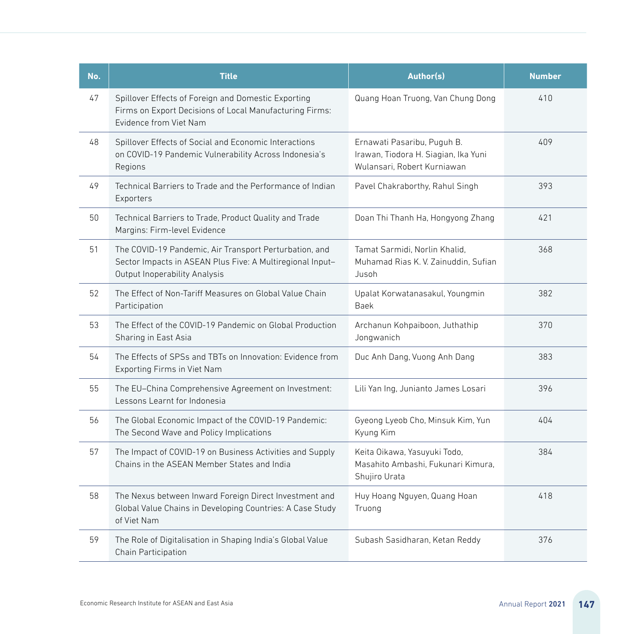| No. | <b>Title</b>                                                                                                                                                                                                                    | Author(s)                                                                           | <b>Number</b> |
|-----|---------------------------------------------------------------------------------------------------------------------------------------------------------------------------------------------------------------------------------|-------------------------------------------------------------------------------------|---------------|
| 47  | Spillover Effects of Foreign and Domestic Exporting<br>Firms on Export Decisions of Local Manufacturing Firms:<br>Evidence from Viet Nam                                                                                        | Quang Hoan Truong, Van Chung Dong                                                   |               |
| 48  | Spillover Effects of Social and Economic Interactions<br>Ernawati Pasaribu, Puguh B.<br>on COVID-19 Pandemic Vulnerability Across Indonesia's<br>Irawan, Tiodora H. Siagian, Ika Yuni<br>Wulansari, Robert Kurniawan<br>Regions |                                                                                     | 409           |
| 49  | Technical Barriers to Trade and the Performance of Indian<br>Exporters                                                                                                                                                          | Pavel Chakraborthy, Rahul Singh                                                     | 393           |
| 50  | Technical Barriers to Trade, Product Quality and Trade<br>Margins: Firm-level Evidence                                                                                                                                          | Doan Thi Thanh Ha, Hongyong Zhang                                                   | 421           |
| 51  | The COVID-19 Pandemic, Air Transport Perturbation, and<br>Sector Impacts in ASEAN Plus Five: A Multiregional Input-<br>Output Inoperability Analysis                                                                            | Tamat Sarmidi, Norlin Khalid,<br>Muhamad Rias K. V. Zainuddin, Sufian<br>Jusoh      |               |
| 52  | The Effect of Non-Tariff Measures on Global Value Chain<br>Participation                                                                                                                                                        | Upalat Korwatanasakul, Youngmin<br><b>Baek</b>                                      | 382           |
| 53  | The Effect of the COVID-19 Pandemic on Global Production<br>Sharing in East Asia                                                                                                                                                | Archanun Kohpaiboon, Juthathip<br>Jongwanich                                        | 370           |
| 54  | The Effects of SPSs and TBTs on Innovation: Evidence from<br>Exporting Firms in Viet Nam                                                                                                                                        | Duc Anh Dang, Vuong Anh Dang                                                        | 383           |
| 55  | The EU-China Comprehensive Agreement on Investment:<br>Lessons Learnt for Indonesia                                                                                                                                             | Lili Yan Ing, Junianto James Losari                                                 | 396           |
| 56  | The Global Economic Impact of the COVID-19 Pandemic:<br>The Second Wave and Policy Implications                                                                                                                                 | Gyeong Lyeob Cho, Minsuk Kim, Yun<br>Kyung Kim                                      | 404           |
| 57  | The Impact of COVID-19 on Business Activities and Supply<br>Chains in the ASEAN Member States and India                                                                                                                         | Keita Oikawa, Yasuyuki Todo,<br>Masahito Ambashi, Fukunari Kimura.<br>Shujiro Urata | 384           |
| 58  | The Nexus between Inward Foreign Direct Investment and<br>Global Value Chains in Developing Countries: A Case Study<br>of Viet Nam                                                                                              | Huy Hoang Nguyen, Quang Hoan<br>Truong                                              | 418           |
| 59  | The Role of Digitalisation in Shaping India's Global Value<br>Chain Participation                                                                                                                                               | Subash Sasidharan, Ketan Reddy                                                      | 376           |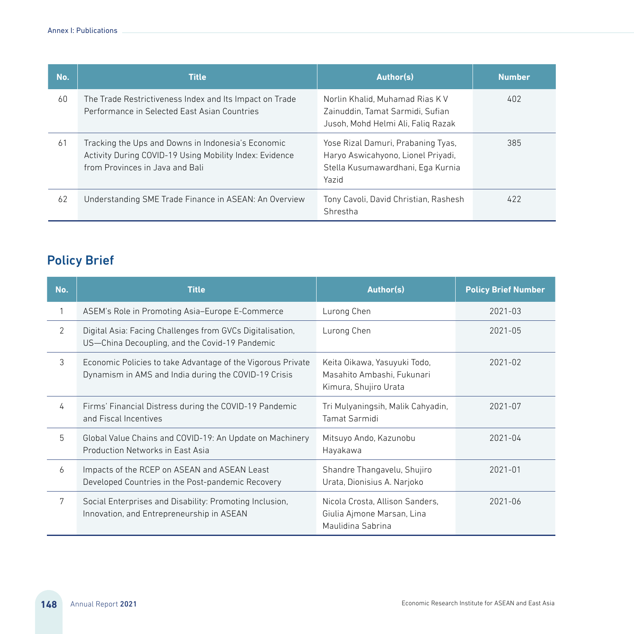| No. | <b>Title</b>                                                                                                                                     | Author(s)                                                                                                              | <b>Number</b> |
|-----|--------------------------------------------------------------------------------------------------------------------------------------------------|------------------------------------------------------------------------------------------------------------------------|---------------|
| 60  | The Trade Restrictiveness Index and Its Impact on Trade<br>Performance in Selected East Asian Countries                                          | Norlin Khalid, Muhamad Rias K V<br>Zainuddin, Tamat Sarmidi, Sufian<br>Jusoh, Mohd Helmi Ali, Falig Razak              | 402           |
| 61  | Tracking the Ups and Downs in Indonesia's Economic<br>Activity During COVID-19 Using Mobility Index: Evidence<br>from Provinces in Java and Bali | Yose Rizal Damuri, Prabaning Tyas,<br>Haryo Aswicahyono, Lionel Priyadi,<br>Stella Kusumawardhani, Ega Kurnia<br>Yazid | 385           |
| 62  | Understanding SME Trade Finance in ASEAN: An Overview                                                                                            | Tony Cavoli, David Christian, Rashesh<br>Shrestha                                                                      | 422           |

#### Policy Brief

| No.            | <b>Title</b>                                                                                                        | Author(s)                                                                           |             |
|----------------|---------------------------------------------------------------------------------------------------------------------|-------------------------------------------------------------------------------------|-------------|
| 1              | ASEM's Role in Promoting Asia-Europe E-Commerce                                                                     | Lurong Chen                                                                         | $2021 - 03$ |
| $\overline{2}$ | Digital Asia: Facing Challenges from GVCs Digitalisation,<br>US-China Decoupling, and the Covid-19 Pandemic         | Lurong Chen                                                                         |             |
| 3              | Economic Policies to take Advantage of the Vigorous Private<br>Dynamism in AMS and India during the COVID-19 Crisis | Keita Oikawa, Yasuyuki Todo,<br>Masahito Ambashi. Fukunari<br>Kimura, Shujiro Urata | $2021 - 02$ |
| 4              | Firms' Financial Distress during the COVID-19 Pandemic<br>and Fiscal Incentives                                     | Tri Mulyaningsih, Malik Cahyadin,<br>Tamat Sarmidi                                  | 2021-07     |
| 5              | Global Value Chains and COVID-19: An Update on Machinery<br>Production Networks in East Asia                        | Mitsuyo Ando, Kazunobu<br>Hayakawa                                                  | $2021 - 04$ |
| 6              | Impacts of the RCEP on ASEAN and ASEAN Least<br>Developed Countries in the Post-pandemic Recovery                   | Shandre Thangavelu, Shujiro<br>Urata, Dionisius A. Narjoko                          | $2021 - 01$ |
| 7              | Social Enterprises and Disability: Promoting Inclusion,<br>Innovation, and Entrepreneurship in ASEAN                | Nicola Crosta, Allison Sanders.<br>Giulia Ajmone Marsan, Lina<br>Maulidina Sabrina  | $2021 - 06$ |